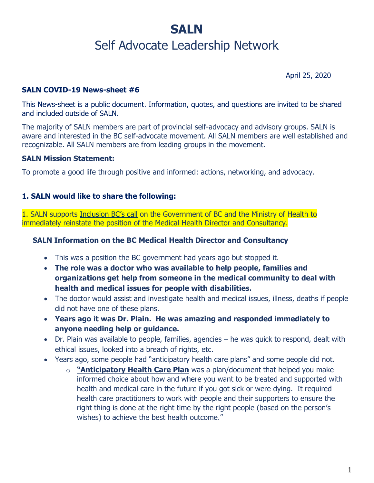# **SALN**

## Self Advocate Leadership Network

April 25, 2020

#### **SALN COVID-19 News-sheet #6**

This News-sheet is a public document. Information, quotes, and questions are invited to be shared and included outside of SALN.

The majority of SALN members are part of provincial self-advocacy and advisory groups. SALN is aware and interested in the BC self-advocate movement. All SALN members are well established and recognizable. All SALN members are from leading groups in the movement.

#### **SALN Mission Statement:**

To promote a good life through positive and informed: actions, networking, and advocacy.

#### **1. SALN would like to share the following:**

1. SALN supports [Inclusion BC's](https://inclusionbc.org/reinstate-b-c-s-medical-health-director-for-people-with-intellectual-disabilities-during-covid-19/) call on the Government of BC and the Ministry of Health to immediately reinstate the position of the Medical Health Director and Consultancy.

#### **SALN Information on the BC Medical Health Director and Consultancy**

- This was a position the BC government had years ago but stopped it.
- **The role was a doctor who was available to help people, families and organizations get help from someone in the medical community to deal with health and medical issues for people with disabilities.**
- The doctor would assist and investigate health and medical issues, illness, deaths if people did not have one of these plans.
- **Years ago it was Dr. Plain. He was amazing and responded immediately to anyone needing help or guidance.**
- Dr. Plain was available to people, families, agencies he was quick to respond, dealt with ethical issues, looked into a breach of rights, etc.
- Years ago, some people had "anticipatory health care plans" and some people did not.
	- o **"Anticipatory Health Care Plan** was a plan/document that helped you make informed choice about how and where you want to be treated and supported with health and medical care in the future if you got sick or were dying. It required health care practitioners to work with people and their supporters to ensure the right thing is done at the right time by the right people (based on the person's wishes) to achieve the best health outcome."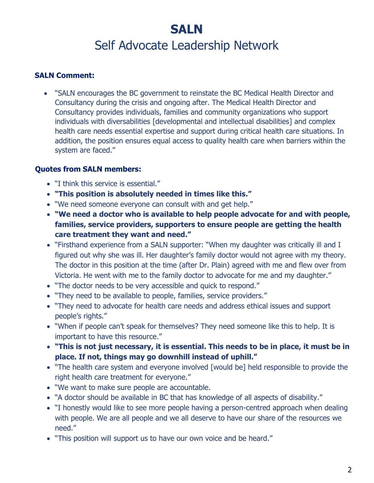# **SALN** Self Advocate Leadership Network

### **SALN Comment:**

• "SALN encourages the BC government to reinstate the BC Medical Health Director and Consultancy during the crisis and ongoing after. The Medical Health Director and Consultancy provides individuals, families and community organizations who support individuals with diversabilities [developmental and intellectual disabilities] and complex health care needs essential expertise and support during critical health care situations. In addition, the position ensures equal access to quality health care when barriers within the system are faced."

### **Quotes from SALN members:**

- "I think this service is essential."
- **"This position is absolutely needed in times like this."**
- "We need someone everyone can consult with and get help."
- **"We need a doctor who is available to help people advocate for and with people, families, service providers, supporters to ensure people are getting the health care treatment they want and need."**
- "Firsthand experience from a SALN supporter: "When my daughter was critically ill and I figured out why she was ill. Her daughter's family doctor would not agree with my theory. The doctor in this position at the time (after Dr. Plain) agreed with me and flew over from Victoria. He went with me to the family doctor to advocate for me and my daughter."
- "The doctor needs to be very accessible and quick to respond."
- "They need to be available to people, families, service providers."
- "They need to advocate for health care needs and address ethical issues and support people's rights."
- "When if people can't speak for themselves? They need someone like this to help. It is important to have this resource."
- **"This is not just necessary, it is essential. This needs to be in place, it must be in place. If not, things may go downhill instead of uphill."**
- "The health care system and everyone involved [would be] held responsible to provide the right health care treatment for everyone."
- "We want to make sure people are accountable.
- "A doctor should be available in BC that has knowledge of all aspects of disability."
- "I honestly would like to see more people having a person-centred approach when dealing with people. We are all people and we all deserve to have our share of the resources we need."
- "This position will support us to have our own voice and be heard."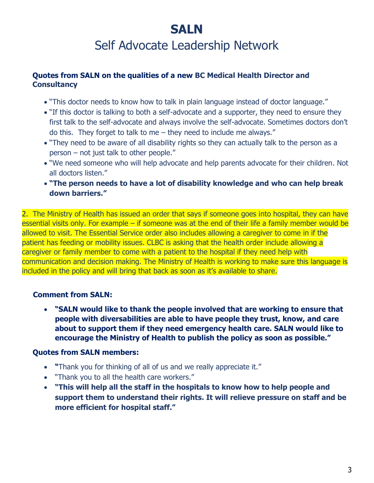# **SALN**

Self Advocate Leadership Network

#### **Quotes from SALN on the qualities of a new BC Medical Health Director and Consultancy**

- "This doctor needs to know how to talk in plain language instead of doctor language."
- "If this doctor is talking to both a self-advocate and a supporter, they need to ensure they first talk to the self-advocate and always involve the self-advocate. Sometimes doctors don't do this. They forget to talk to me  $-$  they need to include me always."
- "They need to be aware of all disability rights so they can actually talk to the person as a person – not just talk to other people."
- "We need someone who will help advocate and help parents advocate for their children. Not all doctors listen."
- **"The person needs to have a lot of disability knowledge and who can help break down barriers."**

2. The Ministry of Health has issued an order that says if someone goes into hospital, they can have essential visits only. For example – if someone was at the end of their life a family member would be allowed to visit. The Essential Service order also includes allowing a caregiver to come in if the patient has feeding or mobility issues. CLBC is asking that the health order include allowing a caregiver or family member to come with a patient to the hospital if they need help with communication and decision making. The Ministry of Health is working to make sure this language is included in the policy and will bring that back as soon as it's available to share.

### **Comment from SALN:**

• **"SALN would like to thank the people involved that are working to ensure that people with diversabilities are able to have people they trust, know, and care about to support them if they need emergency health care. SALN would like to encourage the Ministry of Health to publish the policy as soon as possible."**

### **Quotes from SALN members:**

- **"**Thank you for thinking of all of us and we really appreciate it."
- "Thank you to all the health care workers."
- **"This will help all the staff in the hospitals to know how to help people and support them to understand their rights. It will relieve pressure on staff and be more efficient for hospital staff."**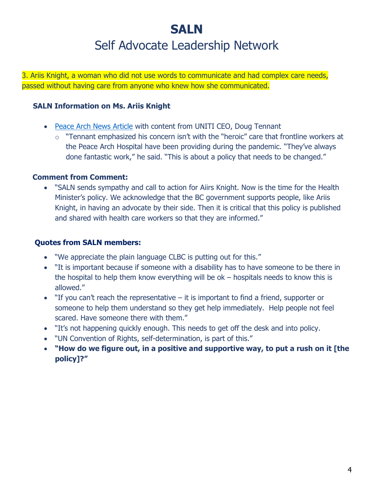# **SALN** Self Advocate Leadership Network

3. Ariis Knight, a woman who did not use words to communicate and had complex care needs, passed without having care from anyone who knew how she communicated.

### **SALN Information on Ms. Ariis Knight**

- [Peace Arch News Article](https://www.peacearchnews.com/news/hospital-visitor-policy-questioned-after-south-surrey-woman-dies-without-caregiver-family/) with content from UNITI CEO, Doug Tennant
	- $\circ$  "Tennant emphasized his concern isn't with the "heroic" care that frontline workers at the Peace Arch Hospital have been providing during the pandemic. "They've always done fantastic work," he said. "This is about a policy that needs to be changed."

### **Comment from Comment:**

• "SALN sends sympathy and call to action for Aiirs Knight. Now is the time for the Health Minister's policy. We acknowledge that the BC government supports people, like Ariis Knight, in having an advocate by their side. Then it is critical that this policy is published and shared with health care workers so that they are informed."

### **Quotes from SALN members:**

- We appreciate the plain language CLBC is putting out for this."
- "It is important because if someone with a disability has to have someone to be there in the hospital to help them know everything will be ok – hospitals needs to know this is allowed."
- "If you can't reach the representative it is important to find a friend, supporter or someone to help them understand so they get help immediately. Help people not feel scared. Have someone there with them."
- "It's not happening quickly enough. This needs to get off the desk and into policy.
- "UN Convention of Rights, self-determination, is part of this."
- **"How do we figure out, in a positive and supportive way, to put a rush on it [the policy]?"**